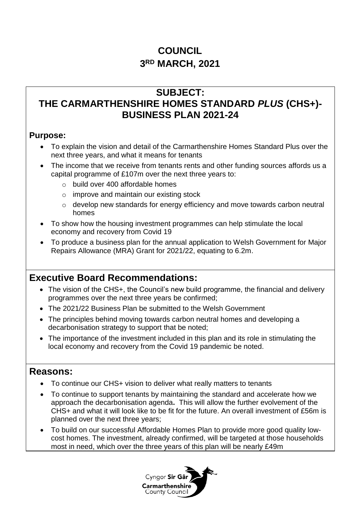# **COUNCIL 3 RD MARCH, 2021**

# **SUBJECT: THE CARMARTHENSHIRE HOMES STANDARD** *PLUS* **(CHS+)- BUSINESS PLAN 2021-24**

## **Purpose:**

- To explain the vision and detail of the Carmarthenshire Homes Standard Plus over the next three years, and what it means for tenants
- The income that we receive from tenants rents and other funding sources affords us a capital programme of £107m over the next three years to:
	- o build over 400 affordable homes
	- $\circ$  improve and maintain our existing stock
	- o develop new standards for energy efficiency and move towards carbon neutral homes
- To show how the housing investment programmes can help stimulate the local economy and recovery from Covid 19
- To produce a business plan for the annual application to Welsh Government for Major Repairs Allowance (MRA) Grant for 2021/22, equating to 6.2m.

# **Executive Board Recommendations:**

- The vision of the CHS+, the Council's new build programme, the financial and delivery programmes over the next three years be confirmed;
- The 2021/22 Business Plan be submitted to the Welsh Government
- The principles behind moving towards carbon neutral homes and developing a decarbonisation strategy to support that be noted;
- The importance of the investment included in this plan and its role in stimulating the local economy and recovery from the Covid 19 pandemic be noted.

# **Reasons:**

- To continue our CHS+ vision to deliver what really matters to tenants
- To continue to support tenants by maintaining the standard and accelerate how we approach the decarbonisation agenda**.** This will allow the further evolvement of the CHS+ and what it will look like to be fit for the future. An overall investment of £56m is planned over the next three years;
- To build on our successful Affordable Homes Plan to provide more good quality lowcost homes. The investment, already confirmed, will be targeted at those households most in need, which over the three years of this plan will be nearly £49m

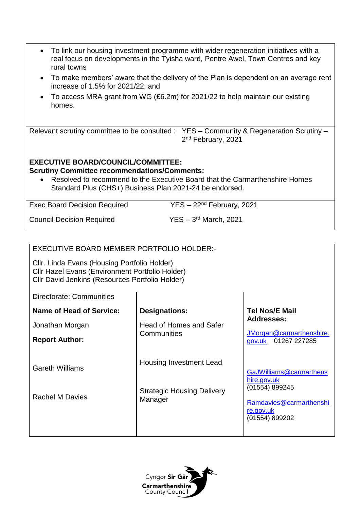| To link our housing investment programme with wider regeneration initiatives with a<br>$\bullet$<br>real focus on developments in the Tyisha ward, Pentre Awel, Town Centres and key<br>rural towns |                                                                                                                                        |                                           |  |  |
|-----------------------------------------------------------------------------------------------------------------------------------------------------------------------------------------------------|----------------------------------------------------------------------------------------------------------------------------------------|-------------------------------------------|--|--|
| To make members' aware that the delivery of the Plan is dependent on an average rent<br>$\bullet$<br>increase of 1.5% for 2021/22; and                                                              |                                                                                                                                        |                                           |  |  |
| homes.                                                                                                                                                                                              | To access MRA grant from WG (£6.2m) for 2021/22 to help maintain our existing                                                          |                                           |  |  |
| Relevant scrutiny committee to be consulted : YES - Community & Regeneration Scrutiny -<br>2 <sup>nd</sup> February, 2021                                                                           |                                                                                                                                        |                                           |  |  |
| <b>EXECUTIVE BOARD/COUNCIL/COMMITTEE:</b><br><b>Scrutiny Committee recommendations/Comments:</b>                                                                                                    | Resolved to recommend to the Executive Board that the Carmarthenshire Homes<br>Standard Plus (CHS+) Business Plan 2021-24 be endorsed. |                                           |  |  |
| $YES - 22nd February, 2021$<br><b>Exec Board Decision Required</b>                                                                                                                                  |                                                                                                                                        |                                           |  |  |
| $YES - 3rd March, 2021$<br><b>Council Decision Required</b>                                                                                                                                         |                                                                                                                                        |                                           |  |  |
| EXECUTIVE BOARD MEMBER PORTFOLIO HOLDER:-<br>Cllr. Linda Evans (Housing Portfolio Holder)<br>Cllr Hazel Evans (Environment Portfolio Holder)<br>Cllr David Jenkins (Resources Portfolio Holder)     |                                                                                                                                        |                                           |  |  |
| <b>Directorate: Communities</b>                                                                                                                                                                     |                                                                                                                                        |                                           |  |  |
| <b>Name of Head of Service:</b>                                                                                                                                                                     | <b>Designations:</b>                                                                                                                   | <b>Tel Nos/E Mail</b>                     |  |  |
| Jonathan Morgan                                                                                                                                                                                     | <b>Head of Homes and Safer</b>                                                                                                         | <b>Addresses:</b>                         |  |  |
| <b>Report Author:</b>                                                                                                                                                                               | JMorgan@carmarthenshire.<br>Communities<br>01267 227285<br>gov.uk                                                                      |                                           |  |  |
| <b>Gareth Williams</b>                                                                                                                                                                              | <b>Housing Investment Lead</b>                                                                                                         | GaJWilliams@carmarthens<br>hire.gov.uk    |  |  |
| <b>Rachel M Davies</b>                                                                                                                                                                              | <b>Strategic Housing Delivery</b><br>Manager                                                                                           | (01554) 899245<br>Ramdavies@carmarthenshi |  |  |

Cyngor Sir Gâr **Carmarthenshire**<br>County Council

[re.gov.uk](mailto:Ramdavies@carmarthenshire.gov.uk) (01554) 899202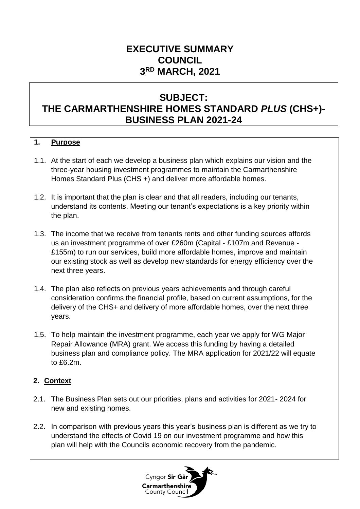# **EXECUTIVE SUMMARY COUNCIL 3 RD MARCH, 2021**

# **SUBJECT: THE CARMARTHENSHIRE HOMES STANDARD** *PLUS* **(CHS+)- BUSINESS PLAN 2021-24**

### **1. Purpose**

- 1.1. At the start of each we develop a business plan which explains our vision and the three-year housing investment programmes to maintain the Carmarthenshire Homes Standard Plus (CHS +) and deliver more affordable homes.
- 1.2. It is important that the plan is clear and that all readers, including our tenants, understand its contents. Meeting our tenant's expectations is a key priority within the plan.
- 1.3. The income that we receive from tenants rents and other funding sources affords us an investment programme of over £260m (Capital - £107m and Revenue - £155m) to run our services, build more affordable homes, improve and maintain our existing stock as well as develop new standards for energy efficiency over the next three years.
- 1.4. The plan also reflects on previous years achievements and through careful consideration confirms the financial profile, based on current assumptions, for the delivery of the CHS+ and delivery of more affordable homes, over the next three years.
- 1.5. To help maintain the investment programme, each year we apply for WG Major Repair Allowance (MRA) grant. We access this funding by having a detailed business plan and compliance policy. The MRA application for 2021/22 will equate to £6.2m.

### **2. Context**

- 2.1. The Business Plan sets out our priorities, plans and activities for 2021- 2024 for new and existing homes.
- 2.2. In comparison with previous years this year's business plan is different as we try to understand the effects of Covid 19 on our investment programme and how this plan will help with the Councils economic recovery from the pandemic.

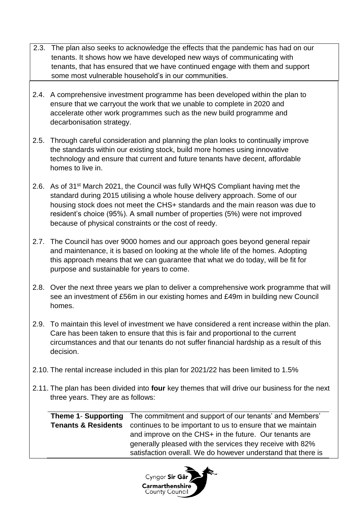- 2.3. The plan also seeks to acknowledge the effects that the pandemic has had on our tenants. It shows how we have developed new ways of communicating with tenants, that has ensured that we have continued engage with them and support some most vulnerable household's in our communities.
- 2.4. A comprehensive investment programme has been developed within the plan to ensure that we carryout the work that we unable to complete in 2020 and accelerate other work programmes such as the new build programme and decarbonisation strategy.
- 2.5. Through careful consideration and planning the plan looks to continually improve the standards within our existing stock, build more homes using innovative technology and ensure that current and future tenants have decent, affordable homes to live in.
- 2.6. As of 31<sup>st</sup> March 2021, the Council was fully WHQS Compliant having met the standard during 2015 utilising a whole house delivery approach. Some of our housing stock does not meet the CHS+ standards and the main reason was due to resident's choice (95%). A small number of properties (5%) were not improved because of physical constraints or the cost of reedy.
- 2.7. The Council has over 9000 homes and our approach goes beyond general repair and maintenance, it is based on looking at the whole life of the homes. Adopting this approach means that we can guarantee that what we do today, will be fit for purpose and sustainable for years to come.
- 2.8. Over the next three years we plan to deliver a comprehensive work programme that will see an investment of £56m in our existing homes and £49m in building new Council homes.
- 2.9. To maintain this level of investment we have considered a rent increase within the plan. Care has been taken to ensure that this is fair and proportional to the current circumstances and that our tenants do not suffer financial hardship as a result of this decision.
- 2.10. The rental increase included in this plan for 2021/22 has been limited to 1.5%
- 2.11. The plan has been divided into **four** key themes that will drive our business for the next three years. They are as follows:

**Theme 1**- **Supporting Tenants & Residents** The commitment and support of our tenants' and Members' continues to be important to us to ensure that we maintain and improve on the CHS+ in the future. Our tenants are generally pleased with the services they receive with 82% satisfaction overall. We do however understand that there is

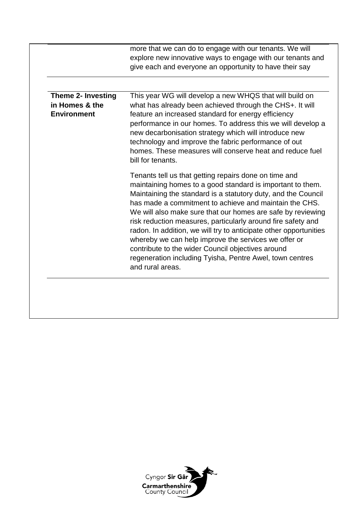|                                                                   | more that we can do to engage with our tenants. We will<br>explore new innovative ways to engage with our tenants and<br>give each and everyone an opportunity to have their say                                                                                                                                                                                                                                                                                                                                                                                                                                                                |
|-------------------------------------------------------------------|-------------------------------------------------------------------------------------------------------------------------------------------------------------------------------------------------------------------------------------------------------------------------------------------------------------------------------------------------------------------------------------------------------------------------------------------------------------------------------------------------------------------------------------------------------------------------------------------------------------------------------------------------|
|                                                                   |                                                                                                                                                                                                                                                                                                                                                                                                                                                                                                                                                                                                                                                 |
| <b>Theme 2- Investing</b><br>in Homes & the<br><b>Environment</b> | This year WG will develop a new WHQS that will build on<br>what has already been achieved through the CHS+. It will<br>feature an increased standard for energy efficiency<br>performance in our homes. To address this we will develop a<br>new decarbonisation strategy which will introduce new<br>technology and improve the fabric performance of out<br>homes. These measures will conserve heat and reduce fuel<br>bill for tenants.                                                                                                                                                                                                     |
|                                                                   | Tenants tell us that getting repairs done on time and<br>maintaining homes to a good standard is important to them.<br>Maintaining the standard is a statutory duty, and the Council<br>has made a commitment to achieve and maintain the CHS.<br>We will also make sure that our homes are safe by reviewing<br>risk reduction measures, particularly around fire safety and<br>radon. In addition, we will try to anticipate other opportunities<br>whereby we can help improve the services we offer or<br>contribute to the wider Council objectives around<br>regeneration including Tyisha, Pentre Awel, town centres<br>and rural areas. |

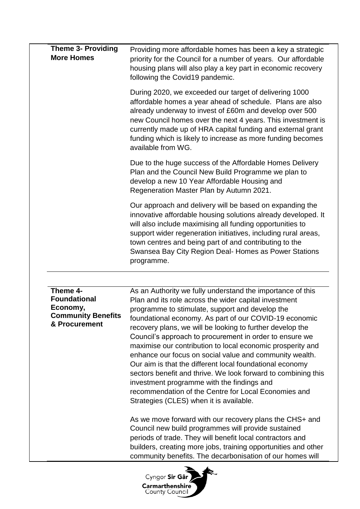| <b>Theme 3- Providing</b><br><b>More Homes</b>                                            | Providing more affordable homes has been a key a strategic<br>priority for the Council for a number of years. Our affordable<br>housing plans will also play a key part in economic recovery<br>following the Covid19 pandemic.                                                                                                                                                                                                                                                                                                                                                                                                                                                                                                                                                                                            |  |  |
|-------------------------------------------------------------------------------------------|----------------------------------------------------------------------------------------------------------------------------------------------------------------------------------------------------------------------------------------------------------------------------------------------------------------------------------------------------------------------------------------------------------------------------------------------------------------------------------------------------------------------------------------------------------------------------------------------------------------------------------------------------------------------------------------------------------------------------------------------------------------------------------------------------------------------------|--|--|
|                                                                                           | During 2020, we exceeded our target of delivering 1000<br>affordable homes a year ahead of schedule. Plans are also<br>already underway to invest of £60m and develop over 500<br>new Council homes over the next 4 years. This investment is<br>currently made up of HRA capital funding and external grant<br>funding which is likely to increase as more funding becomes<br>available from WG.                                                                                                                                                                                                                                                                                                                                                                                                                          |  |  |
|                                                                                           | Due to the huge success of the Affordable Homes Delivery<br>Plan and the Council New Build Programme we plan to<br>develop a new 10 Year Affordable Housing and<br>Regeneration Master Plan by Autumn 2021.                                                                                                                                                                                                                                                                                                                                                                                                                                                                                                                                                                                                                |  |  |
|                                                                                           | Our approach and delivery will be based on expanding the<br>innovative affordable housing solutions already developed. It<br>will also include maximising all funding opportunities to<br>support wider regeneration initiatives, including rural areas,<br>town centres and being part of and contributing to the<br>Swansea Bay City Region Deal- Homes as Power Stations<br>programme.                                                                                                                                                                                                                                                                                                                                                                                                                                  |  |  |
| Theme 4-<br><b>Foundational</b><br>Economy,<br><b>Community Benefits</b><br>& Procurement | As an Authority we fully understand the importance of this<br>Plan and its role across the wider capital investment<br>programme to stimulate, support and develop the<br>foundational economy. As part of our COVID-19 economic<br>recovery plans, we will be looking to further develop the<br>Council's approach to procurement in order to ensure we<br>maximise our contribution to local economic prosperity and<br>enhance our focus on social value and community wealth.<br>Our aim is that the different local foundational economy<br>sectors benefit and thrive. We look forward to combining this<br>investment programme with the findings and<br>recommendation of the Centre for Local Economies and<br>Strategies (CLES) when it is available.<br>As we move forward with our recovery plans the CHS+ and |  |  |
|                                                                                           | Council new build programmes will provide sustained<br>periods of trade. They will benefit local contractors and<br>builders, creating more jobs, training opportunities and other<br>community benefits. The decarbonisation of our homes will                                                                                                                                                                                                                                                                                                                                                                                                                                                                                                                                                                            |  |  |

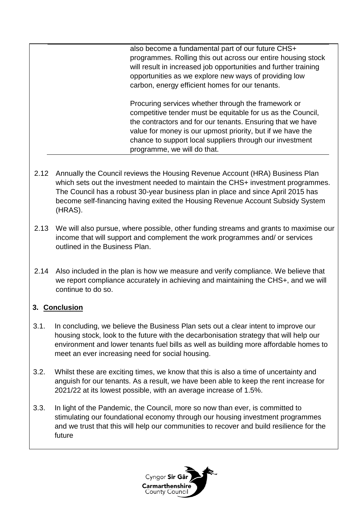also become a fundamental part of our future CHS+ programmes. Rolling this out across our entire housing stock will result in increased job opportunities and further training opportunities as we explore new ways of providing low carbon, energy efficient homes for our tenants.

Procuring services whether through the framework or competitive tender must be equitable for us as the Council, the contractors and for our tenants. Ensuring that we have value for money is our upmost priority, but if we have the chance to support local suppliers through our investment programme, we will do that.

- 2.12 Annually the Council reviews the Housing Revenue Account (HRA) Business Plan which sets out the investment needed to maintain the CHS+ investment programmes. The Council has a robust 30-year business plan in place and since April 2015 has become self-financing having exited the Housing Revenue Account Subsidy System (HRAS).
- 2.13 We will also pursue, where possible, other funding streams and grants to maximise our income that will support and complement the work programmes and/ or services outlined in the Business Plan.
- 2.14 Also included in the plan is how we measure and verify compliance. We believe that we report compliance accurately in achieving and maintaining the CHS+, and we will continue to do so.

## **3. Conclusion**

- 3.1. In concluding, we believe the Business Plan sets out a clear intent to improve our housing stock, look to the future with the decarbonisation strategy that will help our environment and lower tenants fuel bills as well as building more affordable homes to meet an ever increasing need for social housing.
- 3.2. Whilst these are exciting times, we know that this is also a time of uncertainty and anguish for our tenants. As a result, we have been able to keep the rent increase for 2021/22 at its lowest possible, with an average increase of 1.5%.
- 3.3. In light of the Pandemic, the Council, more so now than ever, is committed to stimulating our foundational economy through our housing investment programmes and we trust that this will help our communities to recover and build resilience for the future

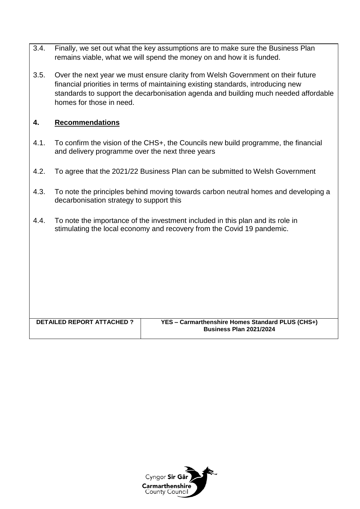- 3.4. Finally, we set out what the key assumptions are to make sure the Business Plan remains viable, what we will spend the money on and how it is funded.
- 3.5. Over the next year we must ensure clarity from Welsh Government on their future financial priorities in terms of maintaining existing standards, introducing new standards to support the decarbonisation agenda and building much needed affordable homes for those in need.

### **4. Recommendations**

- 4.1. To confirm the vision of the CHS+, the Councils new build programme, the financial and delivery programme over the next three years
- 4.2. To agree that the 2021/22 Business Plan can be submitted to Welsh Government
- 4.3. To note the principles behind moving towards carbon neutral homes and developing a decarbonisation strategy to support this
- 4.4. To note the importance of the investment included in this plan and its role in stimulating the local economy and recovery from the Covid 19 pandemic.

| DETAILED REPORT ATTACHED ? | YES - Carmarthenshire Homes Standard PLUS (CHS+) |
|----------------------------|--------------------------------------------------|
|                            | <b>Business Plan 2021/2024</b>                   |
|                            |                                                  |

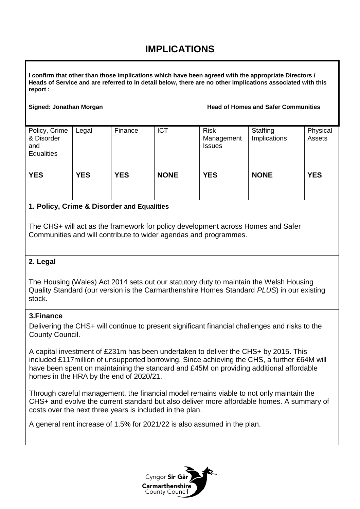# **IMPLICATIONS**

**I confirm that other than those implications which have been agreed with the appropriate Directors / Heads of Service and are referred to in detail below, there are no other implications associated with this report :**

#### **Signed: Jonathan Morgan Head of Homes and Safer Communities**

| Policy, Crime<br>& Disorder<br>and<br><b>Equalities</b> | Legal      | Finance    | <b>ICT</b>  | <b>Risk</b><br>Management<br><b>Issues</b> | Staffing<br>Implications | Physical<br>Assets |
|---------------------------------------------------------|------------|------------|-------------|--------------------------------------------|--------------------------|--------------------|
| <b>YES</b>                                              | <b>YES</b> | <b>YES</b> | <b>NONE</b> | <b>YES</b>                                 | <b>NONE</b>              | <b>YES</b>         |

### **1. Policy, Crime & Disorder and Equalities**

The CHS+ will act as the framework for policy development across Homes and Safer Communities and will contribute to wider agendas and programmes.

### **2. Legal**

The Housing (Wales) Act 2014 sets out our statutory duty to maintain the Welsh Housing Quality Standard (our version is the Carmarthenshire Homes Standard *PLUS*) in our existing stock.

#### **3.Finance**

Delivering the CHS+ will continue to present significant financial challenges and risks to the County Council.

A capital investment of £231m has been undertaken to deliver the CHS+ by 2015. This included £117million of unsupported borrowing. Since achieving the CHS, a further £64M will have been spent on maintaining the standard and £45M on providing additional affordable homes in the HRA by the end of 2020/21.

Through careful management, the financial model remains viable to not only maintain the CHS+ and evolve the current standard but also deliver more affordable homes. A summary of costs over the next three years is included in the plan.

A general rent increase of 1.5% for 2021/22 is also assumed in the plan.

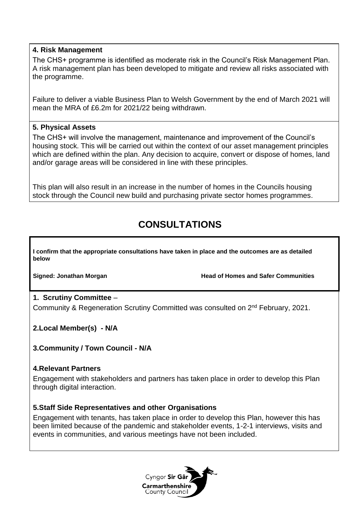#### **4. Risk Management**

The CHS+ programme is identified as moderate risk in the Council's Risk Management Plan. A risk management plan has been developed to mitigate and review all risks associated with the programme.

Failure to deliver a viable Business Plan to Welsh Government by the end of March 2021 will mean the MRA of £6.2m for 2021/22 being withdrawn.

#### **5. Physical Assets**

The CHS+ will involve the management, maintenance and improvement of the Council's housing stock. This will be carried out within the context of our asset management principles which are defined within the plan. Any decision to acquire, convert or dispose of homes, land and/or garage areas will be considered in line with these principles.

This plan will also result in an increase in the number of homes in the Councils housing stock through the Council new build and purchasing private sector homes programmes.

# **CONSULTATIONS**

**I confirm that the appropriate consultations have taken in place and the outcomes are as detailed below**

**Signed: Jonathan Morgan Head of Homes and Safer Communities** 

### **1. Scrutiny Committee** –

Community & Regeneration Scrutiny Committed was consulted on 2<sup>nd</sup> February, 2021.

**2.Local Member(s) - N/A**

**3.Community / Town Council - N/A**

#### **4.Relevant Partners**

Engagement with stakeholders and partners has taken place in order to develop this Plan through digital interaction.

#### **5.Staff Side Representatives and other Organisations**

Engagement with tenants, has taken place in order to develop this Plan, however this has been limited because of the pandemic and stakeholder events, 1-2-1 interviews, visits and events in communities, and various meetings have not been included.